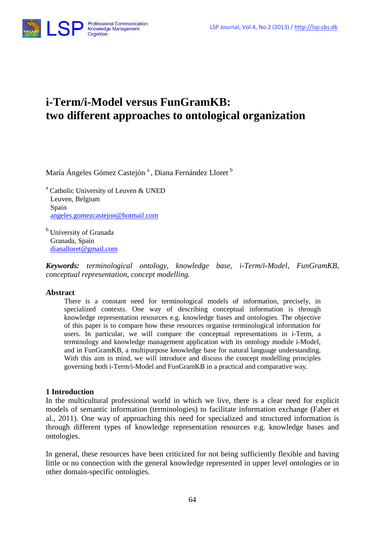

# **i-Term/i-Model versus FunGramKB: two different approaches to ontological organization**

María Ángeles Gómez Castejón<sup>a</sup>, Diana Fernández Lloret<sup>b</sup>

<sup>a</sup> Catholic University of Leuven & UNED Leuven, Belgium Spain [angeles.gomezcastejon@hotmail.com](mailto:angeles.gomezcastejon@hotmail.com)

University of Granada Granada, Spain [dianalloret@gmail.com](mailto:dianalloret@gmail.com)

*Keywords: terminological ontology, knowledge base, i-Term/i-Model, FunGramKB, conceptual representation, concept modelling.*

#### **Abstract**

There is a constant need for terminological models of information, precisely, in specialized contexts. One way of describing conceptual information is through knowledge representation resources e.g. knowledge bases and ontologies. The objective of this paper is to compare how these resources organise terminological information for users. In particular, we will compare the conceptual representations in i-Term, a terminology and knowledge management application with its ontology module i-Model, and in FunGramKB, a multipurpose knowledge base for natural language understanding. With this aim in mind, we will introduce and discuss the concept modelling principles governing both i-Term/i-Model and FunGramKB in a practical and comparative way.

#### **1 Introduction**

In the multicultural professional world in which we live, there is a clear need for explicit models of semantic information (terminologies) to facilitate information exchange (Faber et al., 2011). One way of approaching this need for specialized and structured information is through different types of knowledge representation resources e.g. knowledge bases and ontologies.

In general, these resources have been criticized for not being sufficiently flexible and having little or no connection with the general knowledge represented in upper level ontologies or in other domain-specific ontologies.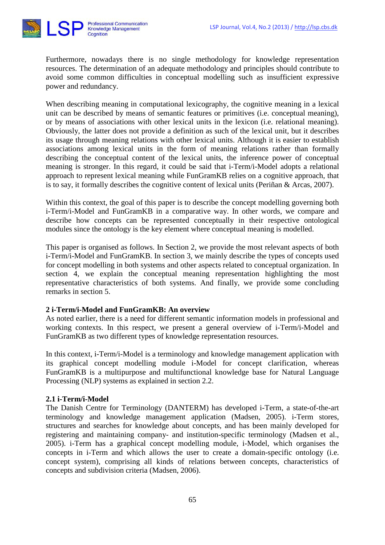

Furthermore, nowadays there is no single methodology for knowledge representation resources. The determination of an adequate methodology and principles should contribute to avoid some common difficulties in conceptual modelling such as insufficient expressive power and redundancy.

When describing meaning in computational lexicography, the cognitive meaning in a lexical unit can be described by means of semantic features or primitives (i.e. conceptual meaning), or by means of associations with other lexical units in the lexicon (i.e. relational meaning). Obviously, the latter does not provide a definition as such of the lexical unit, but it describes its usage through meaning relations with other lexical units. Although it is easier to establish associations among lexical units in the form of meaning relations rather than formally describing the conceptual content of the lexical units, the inference power of conceptual meaning is stronger. In this regard, it could be said that i-Term/i-Model adopts a relational approach to represent lexical meaning while FunGramKB relies on a cognitive approach, that is to say, it formally describes the cognitive content of lexical units (Periñan & Arcas, 2007).

Within this context, the goal of this paper is to describe the concept modelling governing both i-Term/i-Model and FunGramKB in a comparative way. In other words, we compare and describe how concepts can be represented conceptually in their respective ontological modules since the ontology is the key element where conceptual meaning is modelled.

This paper is organised as follows. In Section 2, we provide the most relevant aspects of both i-Term/i-Model and FunGramKB. In section 3, we mainly describe the types of concepts used for concept modelling in both systems and other aspects related to conceptual organization. In section 4, we explain the conceptual meaning representation highlighting the most representative characteristics of both systems. And finally, we provide some concluding remarks in section 5.

# **2 i-Term/i-Model and FunGramKB: An overview**

As noted earlier, there is a need for different semantic information models in professional and working contexts. In this respect, we present a general overview of i-Term/i-Model and FunGramKB as two different types of knowledge representation resources.

In this context, i-Term/i-Model is a terminology and knowledge management application with its graphical concept modelling module i-Model for concept clarification, whereas FunGramKB is a multipurpose and multifunctional knowledge base for Natural Language Processing (NLP) systems as explained in section 2.2.

#### **2.1 i-Term/i-Model**

The Danish Centre for Terminology (DANTERM) has developed i-Term, a state-of-the-art terminology and knowledge management application (Madsen, 2005). i-Term stores, structures and searches for knowledge about concepts, and has been mainly developed for registering and maintaining company- and institution-specific terminology (Madsen et al., 2005). i-Term has a graphical concept modelling module, i-Model, which organises the concepts in i-Term and which allows the user to create a domain-specific ontology (i.e. concept system), comprising all kinds of relations between concepts, characteristics of concepts and subdivision criteria (Madsen, 2006).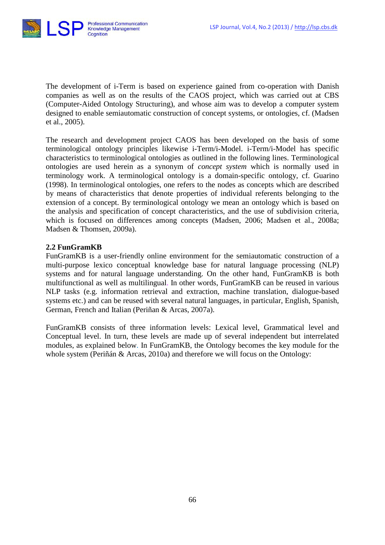

The development of i-Term is based on experience gained from co-operation with Danish companies as well as on the results of the CAOS project, which was carried out at CBS (Computer-Aided Ontology Structuring), and whose aim was to develop a computer system designed to enable semiautomatic construction of concept systems, or ontologies, cf. (Madsen et al., 2005).

The research and development project CAOS has been developed on the basis of some terminological ontology principles likewise i-Term/i-Model. i-Term/i-Model has specific characteristics to terminological ontologies as outlined in the following lines. Terminological ontologies are used herein as a synonym of *concept system* which is normally used in terminology work. A terminological ontology is a domain-specific ontology, cf. Guarino (1998). In terminological ontologies, one refers to the nodes as concepts which are described by means of characteristics that denote properties of individual referents belonging to the extension of a concept. By terminological ontology we mean an ontology which is based on the analysis and specification of concept characteristics, and the use of subdivision criteria, which is focused on differences among concepts (Madsen, 2006; Madsen et al., 2008a; Madsen & Thomsen, 2009a).

#### **2.2 FunGramKB**

FunGramKB is a user-friendly online environment for the semiautomatic construction of a multi-purpose lexico conceptual knowledge base for natural language processing (NLP) systems and for natural language understanding. On the other hand, FunGramKB is both multifunctional as well as multilingual. In other words, FunGramKB can be reused in various NLP tasks (e.g. information retrieval and extraction, machine translation, dialogue-based systems etc.) and can be reused with several natural languages, in particular, English, Spanish, German, French and Italian (Periñan & Arcas, 2007a).

FunGramKB consists of three information levels: Lexical level, Grammatical level and Conceptual level. In turn, these levels are made up of several independent but interrelated modules, as explained below. In FunGramKB, the Ontology becomes the key module for the whole system (Periñán & Arcas, 2010a) and therefore we will focus on the Ontology: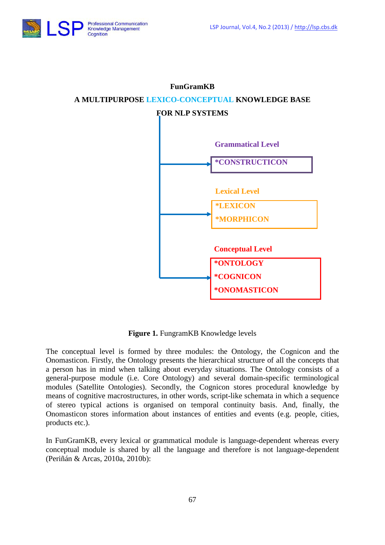



**\*ONOMASTICON**

# **FunGramKB A MULTIPURPOSE LEXICO-CONCEPTUAL KNOWLEDGE BASE**

**Figure 1.** FungramKB Knowledge levels

The conceptual level is formed by three modules: the Ontology, the Cognicon and the Onomasticon. Firstly, the Ontology presents the hierarchical structure of all the concepts that a person has in mind when talking about everyday situations. The Ontology consists of a general-purpose module (i.e. Core Ontology) and several domain-specific terminological modules (Satellite Ontologies). Secondly, the Cognicon stores procedural knowledge by means of cognitive macrostructures, in other words, script-like schemata in which a sequence of stereo typical actions is organised on temporal continuity basis. And, finally, the Onomasticon stores information about instances of entities and events (e.g. people, cities, products etc.).

In FunGramKB, every lexical or grammatical module is language-dependent whereas every conceptual module is shared by all the language and therefore is not language-dependent (Periñán & Arcas, 2010a, 2010b):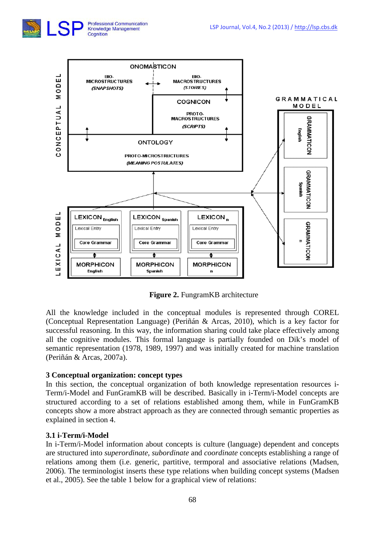



**Figure 2.** FungramKB architecture

All the knowledge included in the conceptual modules is represented through COREL (Conceptual Representation Language) (Periñán & Arcas, 2010), which is a key factor for successful reasoning. In this way, the information sharing could take place effectively among all the cognitive modules. This formal language is partially founded on Dik's model of semantic representation (1978, 1989, 1997) and was initially created for machine translation (Periñán & Arcas, 2007a).

# **3 Conceptual organization: concept types**

In this section, the conceptual organization of both knowledge representation resources i-Term/i-Model and FunGramKB will be described. Basically in i-Term/i-Model concepts are structured according to a set of relations established among them, while in FunGramKB concepts show a more abstract approach as they are connected through semantic properties as explained in section 4.

# **3.1 i-Term/i-Model**

In i-Term/i-Model information about concepts is culture (language) dependent and concepts are structured into *superordinate*, *subordinate* and *coordinate* concepts establishing a range of relations among them (i.e. generic, partitive, termporal and associative relations (Madsen, 2006). The terminologist inserts these type relations when building concept systems (Madsen et al., 2005). See the table 1 below for a graphical view of relations: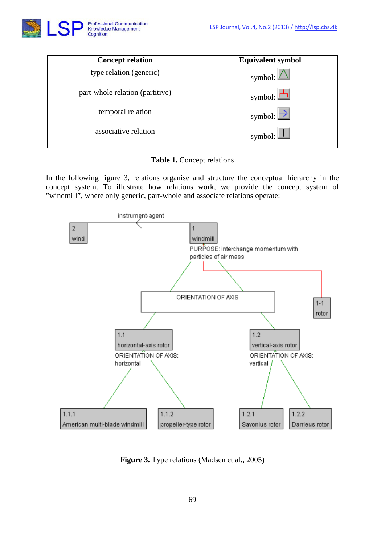

| <b>Concept relation</b>         | <b>Equivalent symbol</b> |
|---------------------------------|--------------------------|
| type relation (generic)         | symbol: $\angle$         |
| part-whole relation (partitive) | symbol: $\Box$           |
| temporal relation               | symbol: $\Box$           |
| associative relation            | symbol: $\Box$           |

**Table 1.** Concept relations

In the following figure 3, relations organise and structure the conceptual hierarchy in the concept system. To illustrate how relations work, we provide the concept system of "windmill", where only generic, part-whole and associate relations operate:



**Figure 3.** Type relations (Madsen et al., 2005)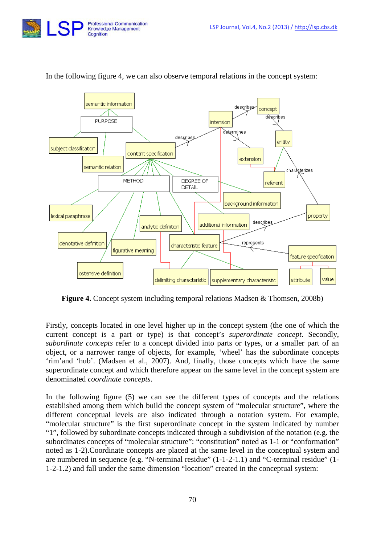



#### In the following figure 4, we can also observe temporal relations in the concept system:

**Figure 4.** Concept system including temporal relations Madsen & Thomsen, 2008b)

Firstly, concepts located in one level higher up in the concept system (the one of which the current concept is a part or type) is that concept's *superordinate concept*. Secondly, *subordinate concepts* refer to a concept divided into parts or types, or a smaller part of an object, or a narrower range of objects, for example, 'wheel' has the subordinate concepts 'rim'and 'hub'. (Madsen et al., 2007). And, finally, those concepts which have the same superordinate concept and which therefore appear on the same level in the concept system are denominated *coordinate concepts*.

In the following figure (5) we can see the different types of concepts and the relations established among them which build the concept system of "molecular structure", where the different conceptual levels are also indicated through a notation system. For example, "molecular structure" is the first superordinate concept in the system indicated by number "1", followed by subordinate concepts indicated through a subdivision of the notation (e.g. the subordinates concepts of "molecular structure": "constitution" noted as 1-1 or "conformation" noted as 1-2).Coordinate concepts are placed at the same level in the conceptual system and are numbered in sequence (e.g. "N-terminal residue" (1-1-2-1.1) and "C-terminal residue" (1- 1-2-1.2) and fall under the same dimension "location" created in the conceptual system: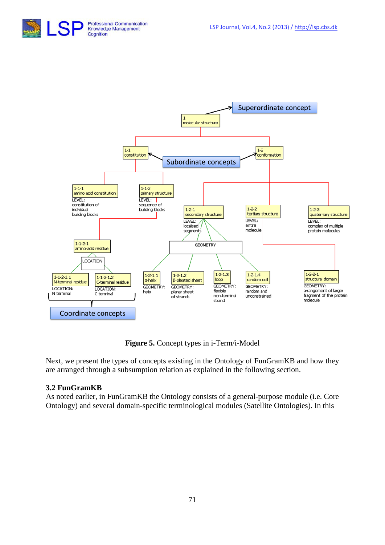



**Figure 5.** Concept types in i-Term/i-Model

Next, we present the types of concepts existing in the Ontology of FunGramKB and how they are arranged through a subsumption relation as explained in the following section.

# **3.2 FunGramKB**

As noted earlier, in FunGramKB the Ontology consists of a general-purpose module (i.e. Core Ontology) and several domain-specific terminological modules (Satellite Ontologies). In this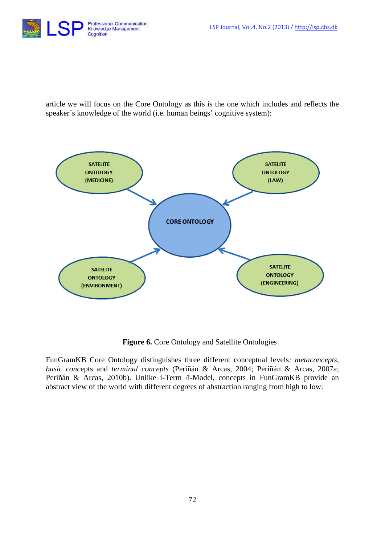

article we will focus on the Core Ontology as this is the one which includes and reflects the speaker´s knowledge of the world (i.e. human beings' cognitive system):



**Figure 6.** Core Ontology and Satellite Ontologies

FunGramKB Core Ontology distinguishes three different conceptual levels*: metaconcepts*, *basic conc*epts and *terminal concepts* (Periñán & Arcas, 2004; Periñán & Arcas, 2007a; Periñán & Arcas, 2010b). Unlike i-Term /i-Model, concepts in FunGramKB provide an abstract view of the world with different degrees of abstraction ranging from high to low: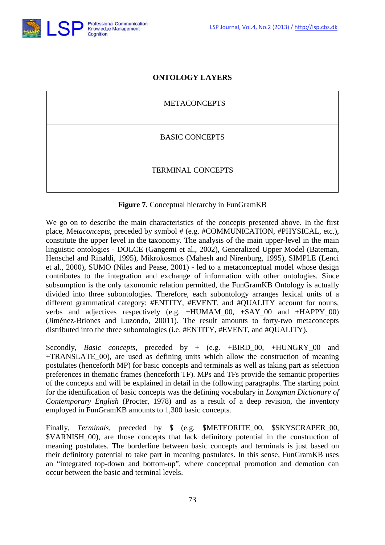

# **ONTOLOGY LAYERS**

METACONCEPTS

BASIC CONCEPTS

TERMINAL CONCEPTS

#### **Figure 7.** Conceptual hierarchy in FunGramKB

We go on to describe the main characteristics of the concepts presented above. In the first place, Me*taconcepts*, preceded by symbol # (e.g. #COMMUNICATION, #PHYSICAL, etc.), constitute the upper level in the taxonomy. The analysis of the main upper-level in the main linguistic ontologies - DOLCE (Gangemi et al., 2002), Generalized Upper Model (Bateman, Henschel and Rinaldi, 1995), Mikrokosmos (Mahesh and Nirenburg, 1995), SIMPLE (Lenci et al., 2000), SUMO (Niles and Pease, 2001) - led to a metaconceptual model whose design contributes to the integration and exchange of information with other ontologies. Since subsumption is the only taxonomic relation permitted, the FunGramKB Ontology is actually divided into three subontologies. Therefore, each subontology arranges lexical units of a different grammatical category: #ENTITY, #EVENT, and #QUALITY account for nouns, verbs and adjectives respectively (e.g. +HUMAM\_00, +SAY\_00 and +HAPPY\_00) (Jiménez-Briones and Luzondo, 20011). The result amounts to forty-two metaconcepts distributed into the three subontologies (i.e. #ENTITY, #EVENT, and #QUALITY).

Secondly, *Basic concepts*, preceded by + (e.g. +BIRD\_00, +HUNGRY\_00 and +TRANSLATE\_00), are used as defining units which allow the construction of meaning postulates (henceforth MP) for basic concepts and terminals as well as taking part as selection preferences in thematic frames (henceforth TF). MPs and TFs provide the semantic properties of the concepts and will be explained in detail in the following paragraphs. The starting point for the identification of basic concepts was the defining vocabulary in *Longman Dictionary of Contemporary English* (Procter, 1978) and as a result of a deep revision, the inventory employed in FunGramKB amounts to 1,300 basic concepts.

Finally, *Terminals*, preceded by \$ (e.g. \$METEORITE\_00, \$SKYSCRAPER\_00, \$VARNISH\_00), are those concepts that lack definitory potential in the construction of meaning postulates. The borderline between basic concepts and terminals is just based on their definitory potential to take part in meaning postulates. In this sense, FunGramKB uses an "integrated top-down and bottom-up", where conceptual promotion and demotion can occur between the basic and terminal levels.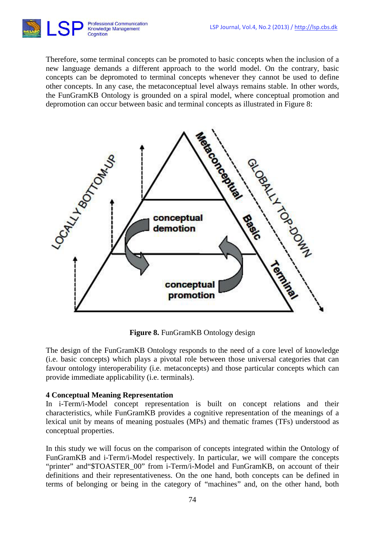

Therefore, some terminal concepts can be promoted to basic concepts when the inclusion of a new language demands a different approach to the world model. On the contrary, basic concepts can be depromoted to terminal concepts whenever they cannot be used to define other concepts. In any case, the metaconceptual level always remains stable. In other words, the FunGramKB Ontology is grounded on a spiral model, where conceptual promotion and depromotion can occur between basic and terminal concepts as illustrated in Figure 8:



**Figure 8.** FunGramKB Ontology design

The design of the FunGramKB Ontology responds to the need of a core level of knowledge (i.e. basic concepts) which plays a pivotal role between those universal categories that can favour ontology interoperability (i.e. metaconcepts) and those particular concepts which can provide immediate applicability (i.e. terminals).

# **4 Conceptual Meaning Representation**

In i-Term/i-Model concept representation is built on concept relations and their characteristics, while FunGramKB provides a cognitive representation of the meanings of a lexical unit by means of meaning postuales (MPs) and thematic frames (TFs) understood as conceptual properties.

In this study we will focus on the comparison of concepts integrated within the Ontology of FunGramKB and i-Term/i-Model respectively. In particular, we will compare the concepts "printer" and "\$TOASTER\_00" from i-Term/i-Model and FunGramKB, on account of their definitions and their representativeness. On the one hand, both concepts can be defined in terms of belonging or being in the category of "machines" and, on the other hand, both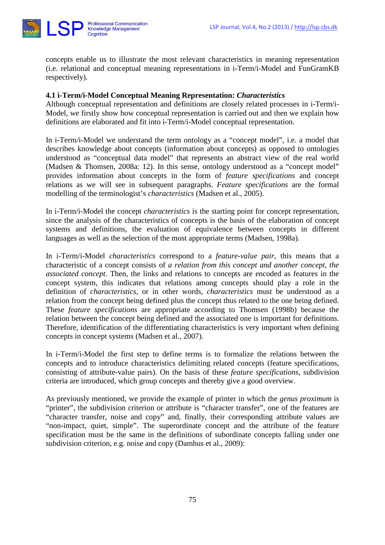

concepts enable us to illustrate the most relevant characteristics in meaning representation (i.e. relational and conceptual meaning representations in i-Term/i-Model and FunGramKB respectively).

#### **4.1 i-Term/i-Model Conceptual Meaning Representation:** *Characteristics*

Although conceptual representation and definitions are closely related processes in i-Term/i-Model, we firstly show how conceptual representation is carried out and then we explain how definitions are elaborated and fit into i-Term/i-Model conceptual representation.

In i-Term/i-Model we understand the term ontology as a "concept model", i.e. a model that describes knowledge about concepts (information about concepts) as opposed to ontologies understood as "conceptual data model" that represents an abstract view of the real world (Madsen & Thomsen, 2008a: 12). In this sense, ontology understood as a "concept model" provides information about concepts in the form of *feature specifications* and concept relations as we will see in subsequent paragraphs. *Feature specifications* are the formal modelling of the terminologist's *characteristics* (Madsen et al., 2005).

In i-Term/i-Model the concept *characteristics* is the starting point for concept representation, since the analysis of the characteristics of concepts is the basis of the elaboration of concept systems and definitions, the evaluation of equivalence between concepts in different languages as well as the selection of the most appropriate terms (Madsen, 1998a).

In i-Term/i-Model *characteristics* correspond to a *feature-value pair*, this means that a characteristic of a concept consists of *a relation from this concept and another concept, the associated concept*. Then, the links and relations to concepts are encoded as features in the concept system, this indicates that relations among concepts should play a role in the definition of *characteristics*, or in other words, *characteristics* must be understood as a relation from the concept being defined plus the concept thus related to the one being defined. These *feature specifications* are appropriate according to Thomsen (1998b) because the relation between the concept being defined and the associated one is important for definitions. Therefore, identification of the differentiating characteristics is very important when defining concepts in concept systems (Madsen et al., 2007).

In i-Term/i-Model the first step to define terms is to formalize the relations between the concepts and to introduce characteristics delimiting related concepts (feature specifications, consisting of attribute-value pairs). On the basis of these *feature specifications*, subdivision criteria are introduced, which group concepts and thereby give a good overview.

As previously mentioned, we provide the example of printer in which the *genus proximum* is "printer", the subdivision criterion or attribute is "character transfer", one of the features are "character transfer, noise and copy" and, finally, their corresponding attribute values are "non-impact, quiet, simple". The superordinate concept and the attribute of the feature specification must be the same in the definitions of subordinate concepts falling under one subdivision criterion, e.g. noise and copy (Damhus et al., 2009):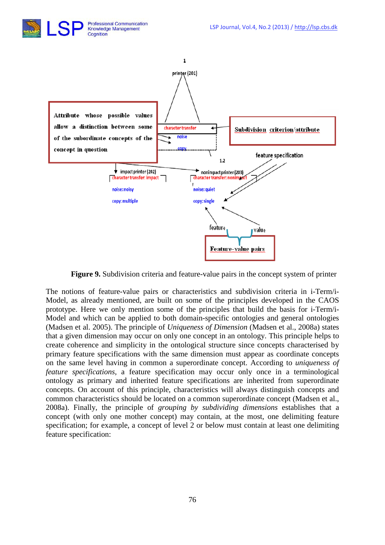



**Figure 9.** Subdivision criteria and feature-value pairs in the concept system of printer

The notions of feature-value pairs or characteristics and subdivision criteria in i-Term/i-Model, as already mentioned, are built on some of the principles developed in the CAOS prototype. Here we only mention some of the principles that build the basis for i-Term/i-Model and which can be applied to both domain-specific ontologies and general ontologies (Madsen et al. 2005). The principle of *Uniqueness of Dimension* (Madsen et al., 2008a) states that a given dimension may occur on only one concept in an ontology. This principle helps to create coherence and simplicity in the ontological structure since concepts characterised by primary feature specifications with the same dimension must appear as coordinate concepts on the same level having in common a superordinate concept. According to *uniqueness of feature specifications,* a feature specification may occur only once in a terminological ontology as primary and inherited feature specifications are inherited from superordinate concepts. On account of this principle, characteristics will always distinguish concepts and common characteristics should be located on a common superordinate concept (Madsen et al., 2008a). Finally, the principle of *grouping by subdividing dimensions* establishes that a concept (with only one mother concept) may contain, at the most, one delimiting feature specification; for example, a concept of level 2 or below must contain at least one delimiting feature specification: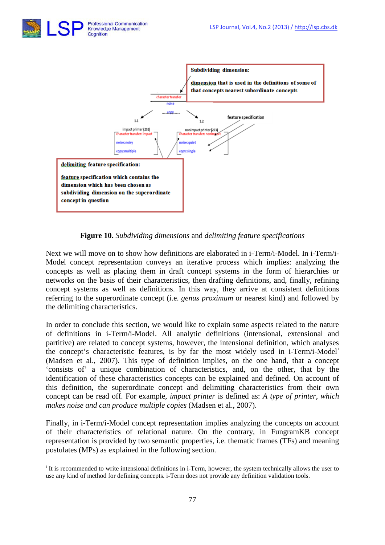

**Figure 10.** *Subdividing dimensions* and *delimiting feature specifications*

Next we will move on to show how definitions are elaborated in i-Term/i-Model. In i-Term/i-Model concept representation conveys an iterative process which implies: analyzing the concepts as well as placing them in draft concept systems in the form of hierarchies or networks on the basis of their characteristics, then drafting definitions, and, finally, refining concept systems as well as definitions. In this way, they arrive at consistent definitions referring to the superordinate concept (i.e. *genus proximum* or nearest kind) and followed by the delimiting characteristics.

In order to conclude this section, we would like to explain some aspects related to the nature of definitions in i-Term/i-Model. All analytic definitions (intensional, extensional and partitive) are related to concept systems, however, the intensional definition, which analyses the concept's characteristic features, is by far the most widely used in i-Term/i-Model[i](#page-13-0) (Madsen et al., 2007). This type of definition implies, on the one hand, that a concept 'consists of' a unique combination of characteristics, and, on the other, that by the identification of these characteristics concepts can be explained and defined. On account of this definition, the superordinate concept and delimiting characteristics from their own concept can be read off. For example, *impact printer* is defined as: *A type of printer, which makes noise and can produce multiple copies* (Madsen et al., 2007).

Finally, in i-Term/i-Model concept representation implies analyzing the concepts on account of their characteristics of relational nature. On the contrary, in FungramKB concept representation is provided by two semantic properties, i.e. thematic frames (TFs) and meaning postulates (MPs) as explained in the following section.

<span id="page-13-0"></span><sup>&</sup>lt;sup>i</sup> It is recommended to write intensional definitions in i-Term, however, the system technically allows the user to use any kind of method for defining concepts. i-Term does not provide any definition validation tools. <u>.</u>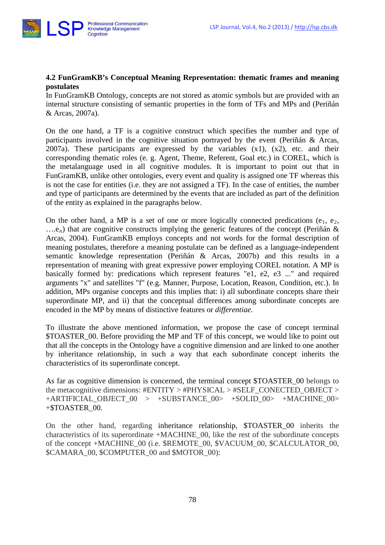

# **4.2 FunGramKB's Conceptual Meaning Representation: thematic frames and meaning postulates**

In FunGramKB Ontology, concepts are not stored as atomic symbols but are provided with an internal structure consisting of semantic properties in the form of TFs and MPs and (Periñán & Arcas, 2007a).

On the one hand, a TF is a cognitive construct which specifies the number and type of participants involved in the cognitive situation portrayed by the event (Periñán & Arcas, 2007a). These participants are expressed by the variables  $(x1)$ ,  $(x2)$ , etc. and their corresponding thematic roles (e. g. Agent, Theme, Referent, Goal etc.) in COREL, which is the metalanguage used in all cognitive modules. It is important to point out that in FunGramKB, unlike other ontologies, every event and quality is assigned one TF whereas this is not the case for entities (i.e. they are not assigned a TF). In the case of entities, the number and type of participants are determined by the events that are included as part of the definition of the entity as explained in the paragraphs below.

On the other hand, a MP is a set of one or more logically connected predications ( $e_1$ ,  $e_2$ ,  $\ldots$ ...e<sub>n</sub>) that are cognitive constructs implying the generic features of the concept (Periñán & Arcas, 2004). FunGramKB employs concepts and not words for the formal description of meaning postulates, therefore a meaning postulate can be defined as a language-independent semantic knowledge representation (Periñán & Arcas, 2007b) and this results in a representation of meaning with great expressive power employing COREL notation. A MP is basically formed by: predications which represent features "e1, e2, e3 ..." and required arguments "x" and satellites "f" (e.g. Manner, Purpose, Location, Reason, Condition, etc.). In addition, MPs organise concepts and this implies that: i) all subordinate concepts share their superordinate MP, and ii) that the conceptual differences among subordinate concepts are encoded in the MP by means of distinctive features or *differentiae*.

To illustrate the above mentioned information, we propose the case of concept terminal \$TOASTER 00. Before providing the MP and TF of this concept, we would like to point out that all the concepts in the Ontology have a cognitive dimension and are linked to one another by inheritance relationship, in such a way that each subordinate concept inherits the characteristics of its superordinate concept.

As far as cognitive dimension is concerned, the terminal concept \$TOASTER 00 belongs to the metacognitive dimensions: #ENTITY > #PHYSICAL > #SELF\_CONECTED\_OBJECT > +ARTIFICIAL\_OBJECT\_00 > +SUBSTANCE\_00> +SOLID\_00> +MACHINE\_00> +\$TOASTER\_00.

On the other hand, regarding inheritance relationship, \$TOASTER\_00 inherits the characteristics of its superordinate +MACHINE\_00, like the rest of the subordinate concepts of the concept +MACHINE\_00 (i.e. \$REMOTE\_00, \$VACUUM\_00, \$CALCULATOR\_00, \$CAMARA\_00, \$COMPUTER\_00 and \$MOTOR\_00):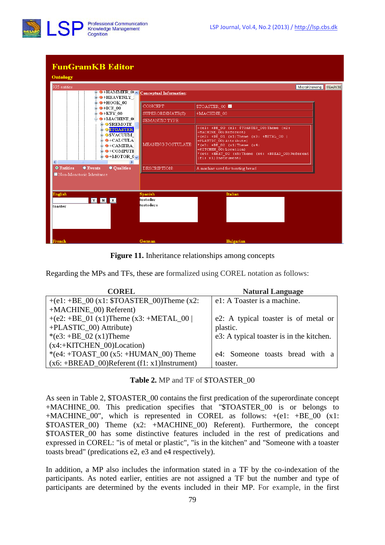

# **FunGramKB Editor**

| <b>Ontology</b>    |                                       |                                                                                                                                                                            |                                                        |                                                                                                                                                                                                                                                                                          |
|--------------------|---------------------------------------|----------------------------------------------------------------------------------------------------------------------------------------------------------------------------|--------------------------------------------------------|------------------------------------------------------------------------------------------------------------------------------------------------------------------------------------------------------------------------------------------------------------------------------------------|
| 935 entities       |                                       | $\blacksquare$ $\Theta$ +HEAVENLY ]                                                                                                                                        | <b>F-O+HAMMER OLA</b> Conceptual Information           | MicroKnowing<br>SEARCH                                                                                                                                                                                                                                                                   |
|                    |                                       | $\mathbf{B}$ +HOOK 00<br>$+ICE$ 00<br>$ +$ KEY 00<br>$\Rightarrow$ $\bullet$ +MACHINE $\circ$                                                                              | <b>CONCEPT:</b><br>SUPERORDINATE(S):<br>SEMANTIC TYPE: | <b>STOASTER 00 M</b><br>+MACHINE 00                                                                                                                                                                                                                                                      |
| $\leq$             |                                       | $\bullet$ SREMOTE<br><b>E OSTOASTER</b><br><b>OSVACUUM</b><br>$\bullet$ +CALCULA<br>$\bullet$ +CAMERA<br>$\triangle$ $\Theta$ +COMPUTE<br>$\mathbf{B}$ +MOTOR $\mathbf{0}$ | MEANING POSTULATE:                                     | $+(e1: +BE 00 (x1: $TOASTER 00) Then (x2:$<br>+MACHINE 00) Referent)<br>+(e2: +BE 01 (x1) Theme (x3: +METAL 00  <br>+PLASTIC 00) Attribute)<br>* (e3: $+BE$ 02 (x1) Theme (x4:<br>+KITCHEN 00) Location)<br>*(e4: +HEAT 00 (x5) Theme (x6: +BREAD 00) Referent<br>$(f1: x1)$ Instrument) |
| <b>O</b> Entities  | ● Events<br>Non-Monotonic Inheritance | ● Qualities                                                                                                                                                                | DESCRIPTION:                                           | A machine used for toasting bread                                                                                                                                                                                                                                                        |
| English<br>toaster | <b>Y N X</b>                          |                                                                                                                                                                            | <b>Spanish</b><br>tostador<br>tostadora                | Italian                                                                                                                                                                                                                                                                                  |
| French             |                                       |                                                                                                                                                                            | German                                                 | <b>Bulgarian</b>                                                                                                                                                                                                                                                                         |

**Figure 11.** Inheritance relationships among concepts

Regarding the MPs and TFs, these are formalized using COREL notation as follows:

| <b>COREL</b>                                      | <b>Natural Language</b>                  |
|---------------------------------------------------|------------------------------------------|
| +(e1: +BE_00 (x1: $TOASTER_00$ )Theme (x2:        | e1: A Toaster is a machine.              |
| +MACHINE_00) Referent)                            |                                          |
| +(e2: +BE_01 (x1)Theme (x3: +METAL_00             | e2: A typical toaster is of metal or     |
| +PLASTIC_00) Attribute)                           | plastic.                                 |
| *(e3: $+BE_02(x1)$ Theme                          | e3: A typical toaster is in the kitchen. |
| $(x4:+KITCHEN_00)$ Location)                      |                                          |
| *(e4: +TOAST_00 (x5: +HUMAN_00) Theme             | e4: Someone toasts bread with a          |
| $(x6: +BREAD_00)$ Referent $(f1: x1)$ Instrument) | toaster.                                 |

**Table 2.** MP and TF of \$TOASTER\_00

As seen in Table 2, \$TOASTER 00 contains the first predication of the superordinate concept +MACHINE\_00. This predication specifies that "\$TOASTER\_00 is or belongs to +MACHINE 00", which is represented in COREL as follows:  $+(e1: +BE 00 (x1:$ \$TOASTER\_00) Theme (x2: +MACHINE\_00) Referent). Furthermore, the concept \$TOASTER\_00 has some distinctive features included in the rest of predications and expressed in COREL: "is of metal or plastic", "is in the kitchen" and "Someone with a toaster toasts bread" (predications e2, e3 and e4 respectively).

In addition, a MP also includes the information stated in a TF by the co-indexation of the participants. As noted earlier, entities are not assigned a TF but the number and type of participants are determined by the events included in their MP. For example, in the first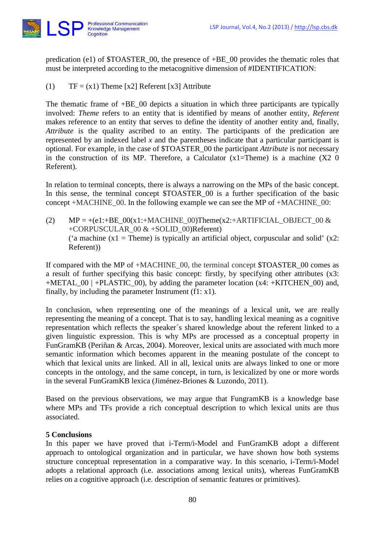

predication (e1) of \$TOASTER\_00, the presence of +BE\_00 provides the thematic roles that must be interpreted according to the metacognitive dimension of #IDENTIFICATION:

(1)  $TF = (x1)$  Theme [x2] Referent [x3] Attribute

The thematic frame of +BE\_00 depicts a situation in which three participants are typically involved: *Theme* refers to an entity that is identified by means of another entity, *Referent* makes reference to an entity that serves to define the identity of another entity and, finally, *Attribute* is the quality ascribed to an entity. The participants of the predication are represented by an indexed label *x* and the parentheses indicate that a particular participant is optional. For example, in the case of \$TOASTER\_00 the participant *Attribute* is not necessary in the construction of its MP. Therefore, a Calculator  $(x1=Thene)$  is a machine  $(X2 \ 0$ Referent).

In relation to terminal concepts, there is always a narrowing on the MPs of the basic concept. In this sense, the terminal concept \$TOASTER\_00 is a further specification of the basic concept  $+MACHINE$  00. In the following example we can see the MP of  $+MACHINE$  00:

(2)  $MP = +(e1.+BE_00(x1.+MACHINE_00)Thene(x2.+ARTIFICIAL_OBIECT_00 &$ +CORPUSCULAR\_00 & +SOLID\_00)Referent) ('a machine  $(x1 =$ Theme) is typically an artificial object, corpuscular and solid'  $(x2$ : Referent))

If compared with the MP of +MACHINE\_00, the terminal concept \$TOASTER\_00 comes as a result of further specifying this basic concept: firstly, by specifying other attributes (x3: +METAL\_00 | +PLASTIC\_00), by adding the parameter location (x4: +KITCHEN\_00) and, finally, by including the parameter Instrument  $(f1: x1)$ .

In conclusion, when representing one of the meanings of a lexical unit, we are really representing the meaning of a concept. That is to say, handling lexical meaning as a cognitive representation which reflects the speaker´s shared knowledge about the referent linked to a given linguistic expression. This is why MPs are processed as a conceptual property in FunGramKB (Periñan & Arcas, 2004). Moreover, lexical units are associated with much more semantic information which becomes apparent in the meaning postulate of the concept to which that lexical units are linked. All in all, lexical units are always linked to one or more concepts in the ontology, and the same concept, in turn, is lexicalized by one or more words in the several FunGramKB lexica (Jiménez-Briones & Luzondo, 2011).

Based on the previous observations, we may argue that FungramKB is a knowledge base where MPs and TFs provide a rich conceptual description to which lexical units are thus associated.

#### **5 Conclusions**

In this paper we have proved that i-Term/i-Model and FunGramKB adopt a different approach to ontological organization and in particular, we have shown how both systems structure conceptual representation in a comparative way. In this scenario, i-Term/i-Model adopts a relational approach (i.e. associations among lexical units), whereas FunGramKB relies on a cognitive approach (i.e. description of semantic features or primitives).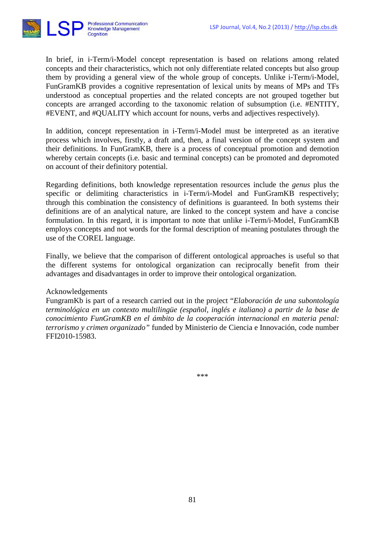

In brief, in i-Term/i-Model concept representation is based on relations among related concepts and their characteristics, which not only differentiate related concepts but also group them by providing a general view of the whole group of concepts. Unlike i-Term/i-Model, FunGramKB provides a cognitive representation of lexical units by means of MPs and TFs understood as conceptual properties and the related concepts are not grouped together but concepts are arranged according to the taxonomic relation of subsumption (i.e. #ENTITY, #EVENT, and #QUALITY which account for nouns, verbs and adjectives respectively).

In addition, concept representation in i-Term/i-Model must be interpreted as an iterative process which involves, firstly, a draft and, then, a final version of the concept system and their definitions. In FunGramKB, there is a process of conceptual promotion and demotion whereby certain concepts (i.e. basic and terminal concepts) can be promoted and depromoted on account of their definitory potential.

Regarding definitions, both knowledge representation resources include the *genus* plus the specific or delimiting characteristics in i-Term/i-Model and FunGramKB respectively; through this combination the consistency of definitions is guaranteed. In both systems their definitions are of an analytical nature, are linked to the concept system and have a concise formulation. In this regard, it is important to note that unlike i-Term/i-Model, FunGramKB employs concepts and not words for the formal description of meaning postulates through the use of the COREL language.

Finally, we believe that the comparison of different ontological approaches is useful so that the different systems for ontological organization can reciprocally benefit from their advantages and disadvantages in order to improve their ontological organization.

#### Acknowledgements

FungramKb is part of a research carried out in the project "*Elaboración de una subontología terminológica en un contexto multilingüe (español, inglés e italiano) a partir de la base de conocimiento FunGramKB en el ámbito de la cooperación internacional en materia penal: terrorismo y crimen organizado"* funded by Ministerio de Ciencia e Innovación, code number FFI2010-15983.

\*\*\*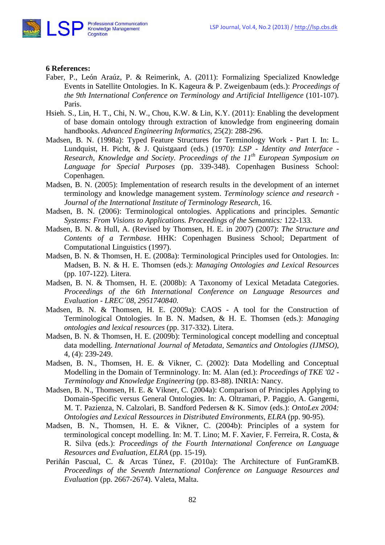

#### **6 References:**

- Faber, P., León Araúz, P. & Reimerink, A. (2011): Formalizing Specialized Knowledge Events in Satellite Ontologies. In K. Kageura & P. Zweigenbaum (eds.): *Proceedings of the 9th International Conference on Terminology and Artificial Intelligence* (101-107). Paris.
- Hsieh. S., Lin, H. T., Chi, N. W., Chou, K.W. & Lin, K.Y. (2011): Enabling the development of base domain ontology through extraction of knowledge from engineering domain handbooks. *Advanced Engineering Informatics*, 25(2): 288-296.
- Madsen, B. N. (1998a): Typed Feature Structures for Terminology Work Part I. In: L. Lundquist, H. Picht, & J. Quistgaard (eds.) (1970): *LSP - Identity and Interface - Research, Knowledge and Society. Proceedings of the 11th European Symposium on Language for Special Purposes* (pp. 339-348). Copenhagen Business School: Copenhagen.
- Madsen, B. N. (2005): [Implementation of research results in the development of an internet](http://research.cbs.dk/portal/da/publications/implementation-of-research-results-in-the-development-of-an-internet-terminology-and-knowledge-management-system(8cc2d6e0-c01f-11db-9769-000ea68e967b).html)  [terminology and knowledge management system.](http://research.cbs.dk/portal/da/publications/implementation-of-research-results-in-the-development-of-an-internet-terminology-and-knowledge-management-system(8cc2d6e0-c01f-11db-9769-000ea68e967b).html) *Terminology science and research -* Journal of the International Institute of Terminology Research, 16.
- Madsen, B. N. (2006): Terminological ontologies. Applications and principles. *Semantic Systems: From Visions to Applications. Proceedings of the Semantics:* 122-133.
- Madsen, B. N. & Hull, A. (Revised by Thomsen, H. E. in 2007) (2007): *The Structure and Contents of a Termbase.* HHK: Copenhagen Business School; Department of Computational Linguistics (1997).
- Madsen, B. N. & Thomsen, H. E. (2008a): Terminological Principles used for Ontologies. In: Madsen, B. N. & H. E. Thomsen (eds.): *Managing Ontologies and Lexical Resources* (pp. 107-122). Litera.
- Madsen, B. N. & Thomsen, H. E. (2008b): A Taxonomy of Lexical Metadata Categories. *Proceedings of the 6th International Conference on Language Resources and Evaluation - LREC´08, 2951740840.*
- Madsen, B. N. & Thomsen, H. E. (2009a): CAOS A tool for the Construction of Terminological Ontologies. In B. N. Madsen, & H. E. Thomsen (eds.): *Managing ontologies and lexical resources* (pp. 317-332). Litera.
- Madsen, B. N. & Thomsen, H. E. (2009b): Terminological concept modelling and conceptual data modelling. *International Journal of Metadata, Semantics and Ontologies (IJMSO)*, 4, (4): 239-249.
- Madsen, B. N., Thomsen, H. E. & Vikner, C. (2002): Data Modelling and Conceptual Modelling in the Domain of Termninology. In: M. Alan (ed.): *Proceedings of TKE '02 - Terminology and Knowledge Engineering* (pp. 83-88). INRIA: Nancy.
- Madsen, B. N., Thomsen, H. E. & Vikner, C. (2004a): Comparison of Principles Applying to Domain-Specific versus General Ontologies. In: A. Oltramari, P. Paggio, A. Gangemi, M. T. Pazienza, N. Calzolari, B. Sandford Pedersen & K. Simov (eds.): *OntoLex 2004: Ontologies and Lexical Ressources in Distributed Environments*, *ELRA* (pp. 90-95).
- Madsen, B. N., Thomsen, H. E. & Vikner, C. (2004b): Principles of a system for terminological concept modelling. In: M. T. Lino; M. F. Xavier, F. Ferreira, R. Costa, & R. Silva (eds.): *Proceedings of the Fourth International Conference on Language Resources and Evaluation*, *ELRA* (pp. 15-19).
- Periñán Pascual, C. & Arcas Túnez, F. (2010a): The Architecture of FunGramKB. *Proceedings of the Seventh International Conference on Language Resources and Evaluation* (pp. 2667-2674). Valeta, Malta.